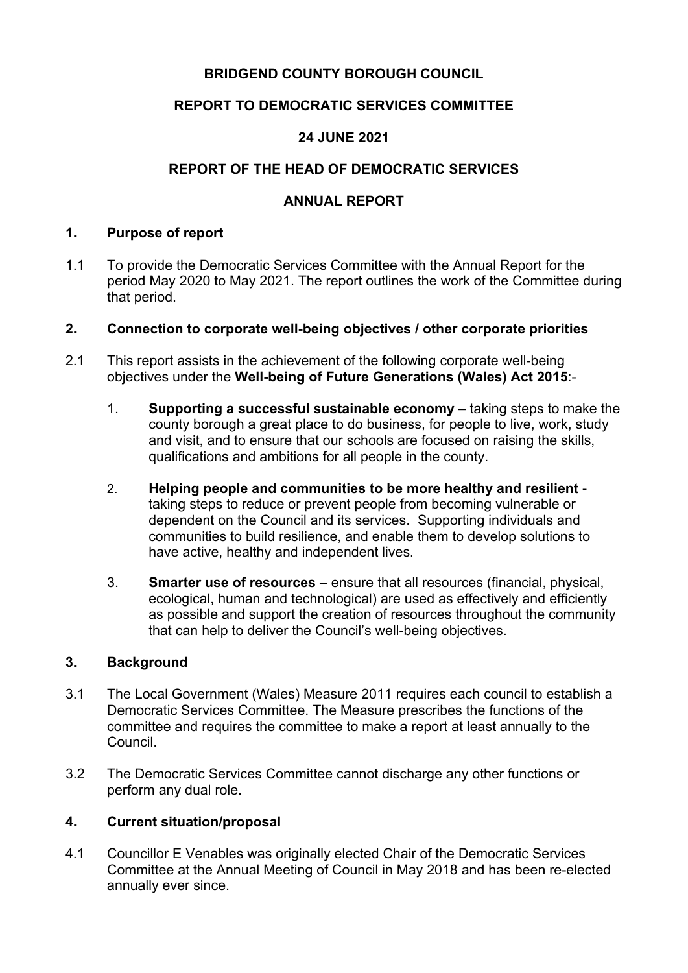## **BRIDGEND COUNTY BOROUGH COUNCIL**

## **REPORT TO DEMOCRATIC SERVICES COMMITTEE**

## **24 JUNE 2021**

## **REPORT OF THE HEAD OF DEMOCRATIC SERVICES**

## **ANNUAL REPORT**

#### **1. Purpose of report**

1.1 To provide the Democratic Services Committee with the Annual Report for the period May 2020 to May 2021. The report outlines the work of the Committee during that period.

#### **2. Connection to corporate well-being objectives / other corporate priorities**

- 2.1 This report assists in the achievement of the following corporate well-being objectives under the **Well-being of Future Generations (Wales) Act 2015**:-
	- 1. **Supporting a successful sustainable economy** taking steps to make the county borough a great place to do business, for people to live, work, study and visit, and to ensure that our schools are focused on raising the skills, qualifications and ambitions for all people in the county.
	- 2. **Helping people and communities to be more healthy and resilient** taking steps to reduce or prevent people from becoming vulnerable or dependent on the Council and its services. Supporting individuals and communities to build resilience, and enable them to develop solutions to have active, healthy and independent lives.
	- 3. **Smarter use of resources** ensure that all resources (financial, physical, ecological, human and technological) are used as effectively and efficiently as possible and support the creation of resources throughout the community that can help to deliver the Council's well-being objectives.

#### **3. Background**

- 3.1 The Local Government (Wales) Measure 2011 requires each council to establish a Democratic Services Committee. The Measure prescribes the functions of the committee and requires the committee to make a report at least annually to the Council.
- 3.2 The Democratic Services Committee cannot discharge any other functions or perform any dual role.

#### **4. Current situation/proposal**

4.1 Councillor E Venables was originally elected Chair of the Democratic Services Committee at the Annual Meeting of Council in May 2018 and has been re-elected annually ever since.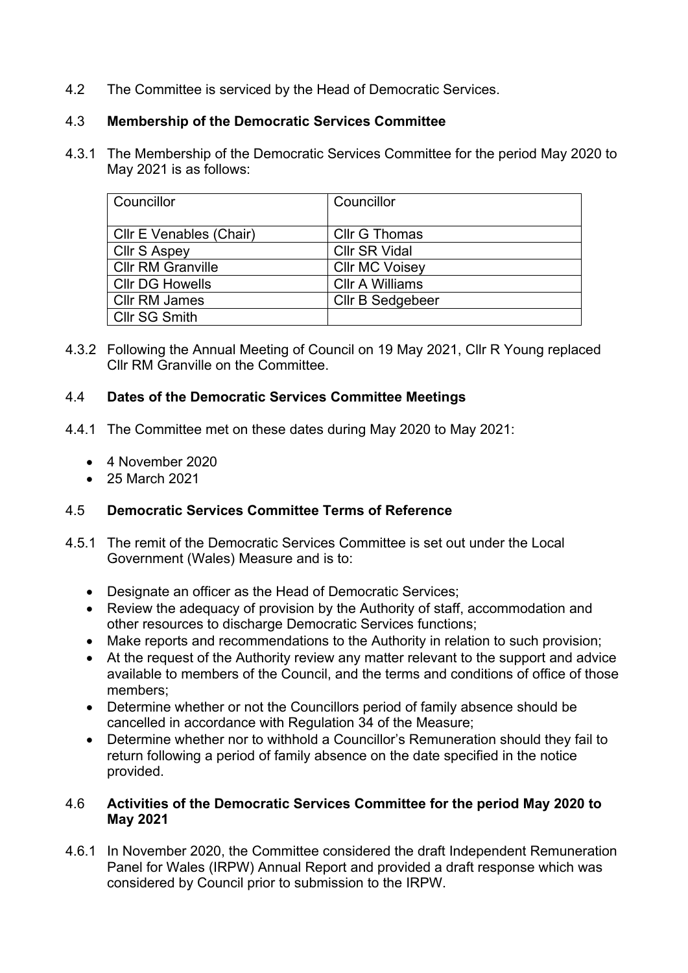4.2 The Committee is serviced by the Head of Democratic Services.

## 4.3 **Membership of the Democratic Services Committee**

4.3.1 The Membership of the Democratic Services Committee for the period May 2020 to May 2021 is as follows:

| Councillor               | Councillor             |
|--------------------------|------------------------|
| Cllr E Venables (Chair)  | <b>Cllr G Thomas</b>   |
| <b>Cllr S Aspey</b>      | <b>Cllr SR Vidal</b>   |
| <b>Cllr RM Granville</b> | <b>Cllr MC Voisey</b>  |
| <b>Cllr DG Howells</b>   | <b>CIIr A Williams</b> |
| <b>CIIr RM James</b>     | Cllr B Sedgebeer       |
| <b>Cllr SG Smith</b>     |                        |

4.3.2 Following the Annual Meeting of Council on 19 May 2021, Cllr R Young replaced Cllr RM Granville on the Committee.

### 4.4 **Dates of the Democratic Services Committee Meetings**

- 4.4.1 The Committee met on these dates during May 2020 to May 2021:
	- 4 November 2020
	- 25 March 2021

# 4.5 **Democratic Services Committee Terms of Reference**

- 4.5.1 The remit of the Democratic Services Committee is set out under the Local Government (Wales) Measure and is to:
	- Designate an officer as the Head of Democratic Services;
	- Review the adequacy of provision by the Authority of staff, accommodation and other resources to discharge Democratic Services functions;
	- Make reports and recommendations to the Authority in relation to such provision;
	- At the request of the Authority review any matter relevant to the support and advice available to members of the Council, and the terms and conditions of office of those members;
	- Determine whether or not the Councillors period of family absence should be cancelled in accordance with Regulation 34 of the Measure;
	- Determine whether nor to withhold a Councillor's Remuneration should they fail to return following a period of family absence on the date specified in the notice provided.

### 4.6 **Activities of the Democratic Services Committee for the period May 2020 to May 2021**

4.6.1 In November 2020, the Committee considered the draft Independent Remuneration Panel for Wales (IRPW) Annual Report and provided a draft response which was considered by Council prior to submission to the IRPW.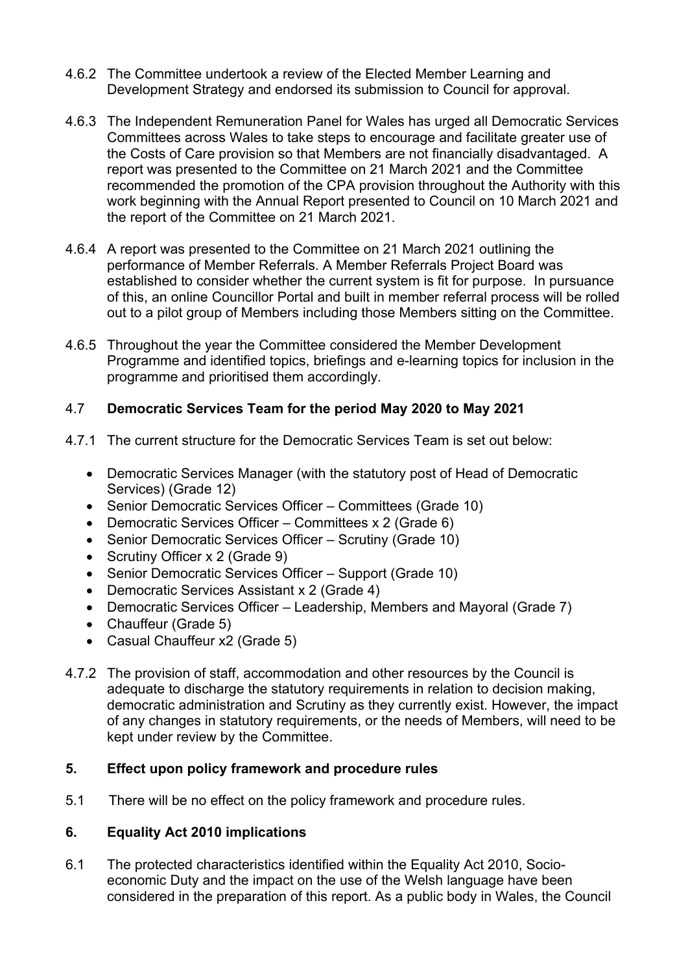- 4.6.2 The Committee undertook a review of the Elected Member Learning and Development Strategy and endorsed its submission to Council for approval.
- 4.6.3 The Independent Remuneration Panel for Wales has urged all Democratic Services Committees across Wales to take steps to encourage and facilitate greater use of the Costs of Care provision so that Members are not financially disadvantaged. A report was presented to the Committee on 21 March 2021 and the Committee recommended the promotion of the CPA provision throughout the Authority with this work beginning with the Annual Report presented to Council on 10 March 2021 and the report of the Committee on 21 March 2021.
- 4.6.4 A report was presented to the Committee on 21 March 2021 outlining the performance of Member Referrals. A Member Referrals Project Board was established to consider whether the current system is fit for purpose. In pursuance of this, an online Councillor Portal and built in member referral process will be rolled out to a pilot group of Members including those Members sitting on the Committee.
- 4.6.5 Throughout the year the Committee considered the Member Development Programme and identified topics, briefings and e-learning topics for inclusion in the programme and prioritised them accordingly.

### 4.7 **Democratic Services Team for the period May 2020 to May 2021**

- 4.7.1 The current structure for the Democratic Services Team is set out below:
	- Democratic Services Manager (with the statutory post of Head of Democratic Services) (Grade 12)
	- Senior Democratic Services Officer Committees (Grade 10)
	- Democratic Services Officer Committees x 2 (Grade 6)
	- Senior Democratic Services Officer Scrutiny (Grade 10)
	- Scrutiny Officer x 2 (Grade 9)
	- Senior Democratic Services Officer Support (Grade 10)
	- Democratic Services Assistant x 2 (Grade 4)
	- Democratic Services Officer Leadership, Members and Mayoral (Grade 7)
	- Chauffeur (Grade 5)
	- Casual Chauffeur x2 (Grade 5)
- 4.7.2 The provision of staff, accommodation and other resources by the Council is adequate to discharge the statutory requirements in relation to decision making, democratic administration and Scrutiny as they currently exist. However, the impact of any changes in statutory requirements, or the needs of Members, will need to be kept under review by the Committee.

### **5. Effect upon policy framework and procedure rules**

5.1 There will be no effect on the policy framework and procedure rules.

### **6. Equality Act 2010 implications**

6.1 The protected characteristics identified within the Equality Act 2010, Socioeconomic Duty and the impact on the use of the Welsh language have been considered in the preparation of this report. As a public body in Wales, the Council